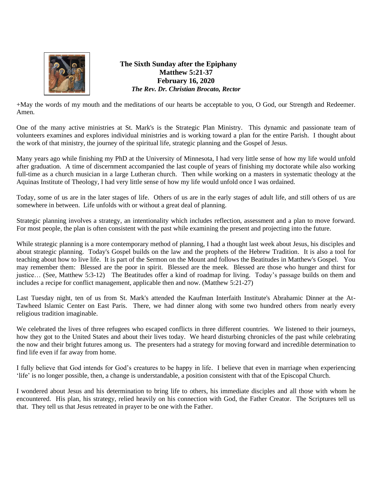

 **The Sixth Sunday after the Epiphany Matthew 5:21-37 February 16, 2020** *The Rev. Dr. Christian Brocato, Rector*

+May the words of my mouth and the meditations of our hearts be acceptable to you, O God, our Strength and Redeemer. Amen.

One of the many active ministries at St. Mark's is the Strategic Plan Ministry. This dynamic and passionate team of volunteers examines and explores individual ministries and is working toward a plan for the entire Parish. I thought about the work of that ministry, the journey of the spiritual life, strategic planning and the Gospel of Jesus.

Many years ago while finishing my PhD at the University of Minnesota, I had very little sense of how my life would unfold after graduation. A time of discernment accompanied the last couple of years of finishing my doctorate while also working full-time as a church musician in a large Lutheran church. Then while working on a masters in systematic theology at the Aquinas Institute of Theology, I had very little sense of how my life would unfold once I was ordained.

Today, some of us are in the later stages of life. Others of us are in the early stages of adult life, and still others of us are somewhere in between. Life unfolds with or without a great deal of planning.

Strategic planning involves a strategy, an intentionality which includes reflection, assessment and a plan to move forward. For most people, the plan is often consistent with the past while examining the present and projecting into the future.

While strategic planning is a more contemporary method of planning, I had a thought last week about Jesus, his disciples and about strategic planning. Today's Gospel builds on the law and the prophets of the Hebrew Tradition. It is also a tool for teaching about how to live life. It is part of the Sermon on the Mount and follows the Beatitudes in Matthew's Gospel. You may remember them: Blessed are the poor in spirit. Blessed are the meek. Blessed are those who hunger and thirst for justice… (See, Matthew 5:3-12) The Beatitudes offer a kind of roadmap for living. Today's passage builds on them and includes a recipe for conflict management, applicable then and now. (Matthew 5:21-27)

Last Tuesday night, ten of us from St. Mark's attended the Kaufman Interfaith Institute's Abrahamic Dinner at the At-Tawheed Islamic Center on East Paris. There, we had dinner along with some two hundred others from nearly every religious tradition imaginable.

We celebrated the lives of three refugees who escaped conflicts in three different countries. We listened to their journeys, how they got to the United States and about their lives today. We heard disturbing chronicles of the past while celebrating the now and their bright futures among us. The presenters had a strategy for moving forward and incredible determination to find life even if far away from home.

I fully believe that God intends for God's creatures to be happy in life. I believe that even in marriage when experiencing 'life' is no longer possible, then, a change is understandable, a position consistent with that of the Episcopal Church.

I wondered about Jesus and his determination to bring life to others, his immediate disciples and all those with whom he encountered. His plan, his strategy, relied heavily on his connection with God, the Father Creator. The Scriptures tell us that. They tell us that Jesus retreated in prayer to be one with the Father.